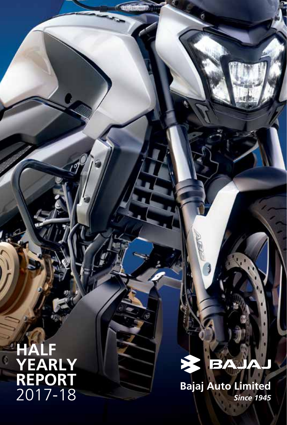# **HALF YEARLY REPORT** 2017-18

#### E **BZ**

Ġ

**Bajaj Auto Limited** *Since 1945*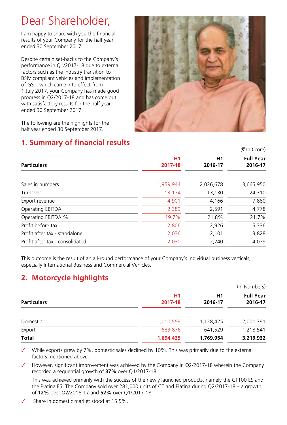### Dear Shareholder,

I am happy to share with you the financial results of your Company for the half year ended 30 September 2017.

Despite certain set-backs to the Company's performance in Q1/2017-18 due to external factors such as the industry transition to BSIV compliant vehicles and implementation of GST, which came into effect from 1 July 2017, your Company has made good progress in Q2/2017-18 and has come out with satisfactory results for the half year ended 30 September 2017.



 $(F \ln C \text{rora})$ 

The following are the highlights for the half year ended 30 September 2017.

### **1. Summary of financial results**

| <b>H1</b> | H1                                                                                   | <b>Full Year</b> |
|-----------|--------------------------------------------------------------------------------------|------------------|
|           | 2016-17                                                                              | 2016-17          |
|           | 2,026,678                                                                            | 3,665,950        |
|           | 13,130                                                                               | 24,310           |
|           | 4,166                                                                                | 7,880            |
|           | 2,591                                                                                | 4,778            |
|           | 21.8%                                                                                | 21.7%            |
|           | 2,926                                                                                | 5,336            |
|           | 2,101                                                                                | 3,828            |
|           | 2.240                                                                                | 4.079            |
|           | 2017-18<br>1,959,944<br>13,174<br>4,901<br>2,389<br>19.7%<br>2,806<br>2,036<br>2,030 |                  |

This outcome is the result of an all-round performance of your Company's individual business verticals, especially International Business and Commercial Vehicles.

### **2. Motorcycle highlights**

|               |               | (In Numbers)                |
|---------------|---------------|-----------------------------|
| Η1<br>2017-18 | H1<br>2016-17 | <b>Full Year</b><br>2016-17 |
| 1,010,559     | 1,128,425     | 2,001,391                   |
| 683,876       | 641,529       | 1,218,541                   |
| 1,694,435     | 1,769,954     | 3,219,932                   |
|               |               |                             |

While exports grew by 7%, domestic sales declined by 10%. This was primarily due to the external factors mentioned above.

However, significant improvement was achieved by the Company in O2/2017-18 wherein the Company recorded a sequential growth of **37%** over Q1/2017-18.

This was achieved primarily with the success of the newly launched products, namely the CT100 ES and the Platina ES. The Company sold over 281,000 units of CT and Platina during Q2/2017-18 – a growth of **12%** over Q2/2016-17 and **52%** over Q1/2017-18.

Share in domestic market stood at 15.5%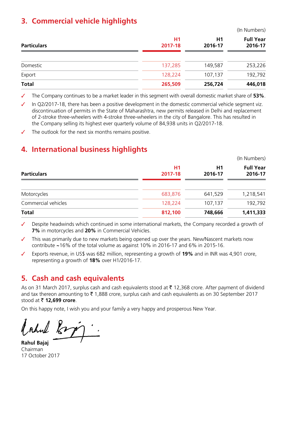#### **3. Commercial vehicle highlights**

|                    |               |               | (III INUITIDEIS)            |
|--------------------|---------------|---------------|-----------------------------|
| <b>Particulars</b> | H1<br>2017-18 | H1<br>2016-17 | <b>Full Year</b><br>2016-17 |
| Domestic           | 137,285       | 149,587       | 253,226                     |
| Export             | 128,224       | 107,137       | 192,792                     |
| <b>Total</b>       | 265,509       | 256,724       | 446,018                     |
|                    |               |               |                             |

(In Numbers)

The Company continues to be a market leader in this segment with overall domestic market share of 53%.

In Q2/2017-18, there has been a positive development in the domestic commercial vehicle segment viz. discontinuation of permits in the State of Maharashtra, new permits released in Delhi and replacement of 2-stroke three-wheelers with 4-stroke three-wheelers in the city of Bangalore. This has resulted in the Company selling its highest ever quarterly volume of 84,938 units in Q2/2017-18.

The outlook for the next six months remains positive.

#### **4. International business highlights**

|                     | (In Numbers)  |               |                             |
|---------------------|---------------|---------------|-----------------------------|
| <b>Particulars</b>  | H1<br>2017-18 | H1<br>2016-17 | <b>Full Year</b><br>2016-17 |
| Motorcycles         | 683,876       | 641,529       | 1,218,541                   |
| Commercial vehicles | 128,224       | 107,137       | 192,792                     |
| <b>Total</b>        | 812,100       | 748,666       | 1,411,333                   |

Despite headwinds which continued in some international markets, the Company recorded a growth of **7%** in motorcycles and **20%** in Commercial Vehicles.

This was primarily due to new markets being opened up over the years. New/Nascent markets now contribute **~**16% of the total volume as against 10% in 2016-17 and 6% in 2015-16.

✓ Exports revenue, in US\$ was 682 million, representing a growth of **19%** and in INR was 4,901 crore, representing a growth of **18%** over H1/2016-17.

#### **5. Cash and cash equivalents**

As on 31 March 2017, surplus cash and cash equivalents stood at  $\bar{\tau}$  12,368 crore. After payment of dividend and tax thereon amounting to  $\bar{\mathfrak{X}}$  1,888 crore, surplus cash and cash equivalents as on 30 September 2017 stood at ` **12,699 crore**.

On this happy note, I wish you and your family a very happy and prosperous New Year.

*Lohal* 

**Rahul Bajaj**  Chairman 17 October 2017